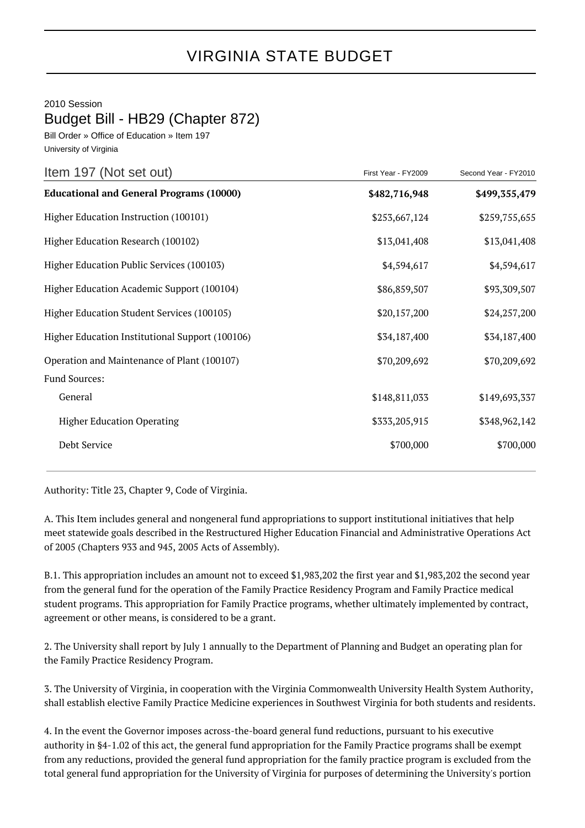## VIRGINIA STATE BUDGET

2010 Session

Budget Bill - HB29 (Chapter 872)

Bill Order » Office of Education » Item 197 University of Virginia

| Item 197 (Not set out)                          | First Year - FY2009 | Second Year - FY2010 |
|-------------------------------------------------|---------------------|----------------------|
| <b>Educational and General Programs (10000)</b> | \$482,716,948       | \$499,355,479        |
| Higher Education Instruction (100101)           | \$253,667,124       | \$259,755,655        |
| Higher Education Research (100102)              | \$13,041,408        | \$13,041,408         |
| Higher Education Public Services (100103)       | \$4,594,617         | \$4,594,617          |
| Higher Education Academic Support (100104)      | \$86,859,507        | \$93,309,507         |
| Higher Education Student Services (100105)      | \$20,157,200        | \$24,257,200         |
| Higher Education Institutional Support (100106) | \$34,187,400        | \$34,187,400         |
| Operation and Maintenance of Plant (100107)     | \$70,209,692        | \$70,209,692         |
| Fund Sources:                                   |                     |                      |
| General                                         | \$148,811,033       | \$149,693,337        |
| <b>Higher Education Operating</b>               | \$333,205,915       | \$348,962,142        |
| Debt Service                                    | \$700,000           | \$700,000            |

Authority: Title 23, Chapter 9, Code of Virginia.

A. This Item includes general and nongeneral fund appropriations to support institutional initiatives that help meet statewide goals described in the Restructured Higher Education Financial and Administrative Operations Act of 2005 (Chapters 933 and 945, 2005 Acts of Assembly).

B.1. This appropriation includes an amount not to exceed \$1,983,202 the first year and \$1,983,202 the second year from the general fund for the operation of the Family Practice Residency Program and Family Practice medical student programs. This appropriation for Family Practice programs, whether ultimately implemented by contract, agreement or other means, is considered to be a grant.

2. The University shall report by July 1 annually to the Department of Planning and Budget an operating plan for the Family Practice Residency Program.

3. The University of Virginia, in cooperation with the Virginia Commonwealth University Health System Authority, shall establish elective Family Practice Medicine experiences in Southwest Virginia for both students and residents.

4. In the event the Governor imposes across-the-board general fund reductions, pursuant to his executive authority in §4-1.02 of this act, the general fund appropriation for the Family Practice programs shall be exempt from any reductions, provided the general fund appropriation for the family practice program is excluded from the total general fund appropriation for the University of Virginia for purposes of determining the University's portion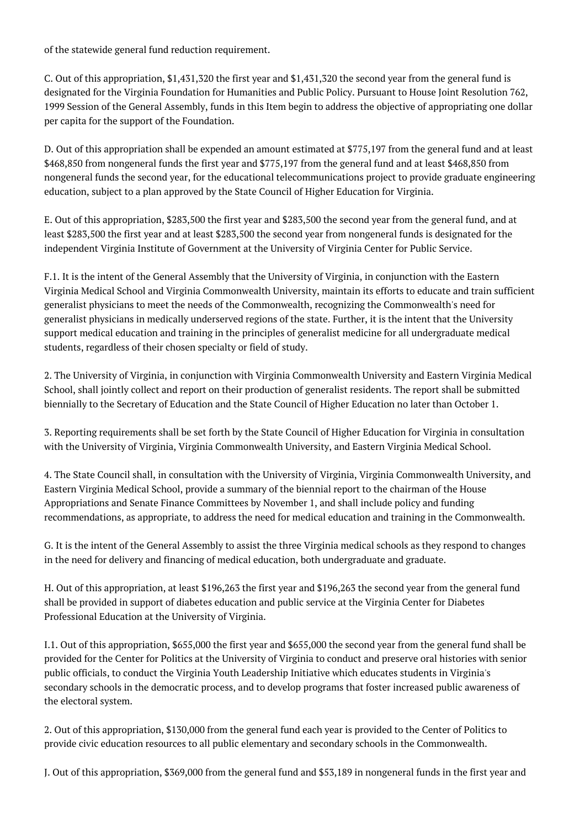of the statewide general fund reduction requirement.

C. Out of this appropriation, \$1,431,320 the first year and \$1,431,320 the second year from the general fund is designated for the Virginia Foundation for Humanities and Public Policy. Pursuant to House Joint Resolution 762, 1999 Session of the General Assembly, funds in this Item begin to address the objective of appropriating one dollar per capita for the support of the Foundation.

D. Out of this appropriation shall be expended an amount estimated at \$775,197 from the general fund and at least \$468,850 from nongeneral funds the first year and \$775,197 from the general fund and at least \$468,850 from nongeneral funds the second year, for the educational telecommunications project to provide graduate engineering education, subject to a plan approved by the State Council of Higher Education for Virginia.

E. Out of this appropriation, \$283,500 the first year and \$283,500 the second year from the general fund, and at least \$283,500 the first year and at least \$283,500 the second year from nongeneral funds is designated for the independent Virginia Institute of Government at the University of Virginia Center for Public Service.

F.1. It is the intent of the General Assembly that the University of Virginia, in conjunction with the Eastern Virginia Medical School and Virginia Commonwealth University, maintain its efforts to educate and train sufficient generalist physicians to meet the needs of the Commonwealth, recognizing the Commonwealth's need for generalist physicians in medically underserved regions of the state. Further, it is the intent that the University support medical education and training in the principles of generalist medicine for all undergraduate medical students, regardless of their chosen specialty or field of study.

2. The University of Virginia, in conjunction with Virginia Commonwealth University and Eastern Virginia Medical School, shall jointly collect and report on their production of generalist residents. The report shall be submitted biennially to the Secretary of Education and the State Council of Higher Education no later than October 1.

3. Reporting requirements shall be set forth by the State Council of Higher Education for Virginia in consultation with the University of Virginia, Virginia Commonwealth University, and Eastern Virginia Medical School.

4. The State Council shall, in consultation with the University of Virginia, Virginia Commonwealth University, and Eastern Virginia Medical School, provide a summary of the biennial report to the chairman of the House Appropriations and Senate Finance Committees by November 1, and shall include policy and funding recommendations, as appropriate, to address the need for medical education and training in the Commonwealth.

G. It is the intent of the General Assembly to assist the three Virginia medical schools as they respond to changes in the need for delivery and financing of medical education, both undergraduate and graduate.

H. Out of this appropriation, at least \$196,263 the first year and \$196,263 the second year from the general fund shall be provided in support of diabetes education and public service at the Virginia Center for Diabetes Professional Education at the University of Virginia.

I.1. Out of this appropriation, \$655,000 the first year and \$655,000 the second year from the general fund shall be provided for the Center for Politics at the University of Virginia to conduct and preserve oral histories with senior public officials, to conduct the Virginia Youth Leadership Initiative which educates students in Virginia's secondary schools in the democratic process, and to develop programs that foster increased public awareness of the electoral system.

2. Out of this appropriation, \$130,000 from the general fund each year is provided to the Center of Politics to provide civic education resources to all public elementary and secondary schools in the Commonwealth.

J. Out of this appropriation, \$369,000 from the general fund and \$53,189 in nongeneral funds in the first year and